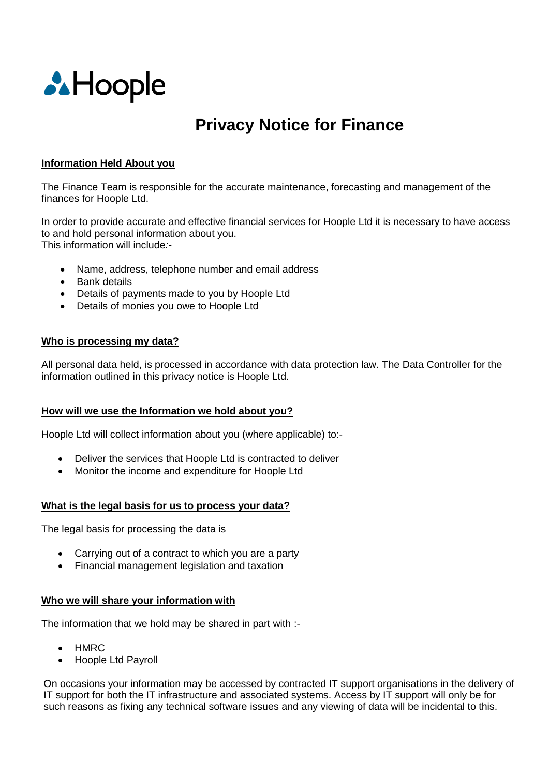

# **Privacy Notice for Finance**

#### **Information Held About you**

The Finance Team is responsible for the accurate maintenance, forecasting and management of the finances for Hoople Ltd.

In order to provide accurate and effective financial services for Hoople Ltd it is necessary to have access to and hold personal information about you. This information will include*:-*

- Name, address, telephone number and email address
- Bank details
- Details of payments made to you by Hoople Ltd
- Details of monies you owe to Hoople Ltd

#### **Who is processing my data?**

All personal data held, is processed in accordance with data protection law. The Data Controller for the information outlined in this privacy notice is Hoople Ltd.

#### **How will we use the Information we hold about you?**

Hoople Ltd will collect information about you (where applicable) to:-

- Deliver the services that Hoople Ltd is contracted to deliver
- Monitor the income and expenditure for Hoople Ltd

### **What is the legal basis for us to process your data?**

The legal basis for processing the data is

- Carrying out of a contract to which you are a party
- Financial management legislation and taxation

### **Who we will share your information with**

The information that we hold may be shared in part with :-

- HMRC
- Hoople Ltd Payroll

On occasions your information may be accessed by contracted IT support organisations in the delivery of IT support for both the IT infrastructure and associated systems. Access by IT support will only be for such reasons as fixing any technical software issues and any viewing of data will be incidental to this.